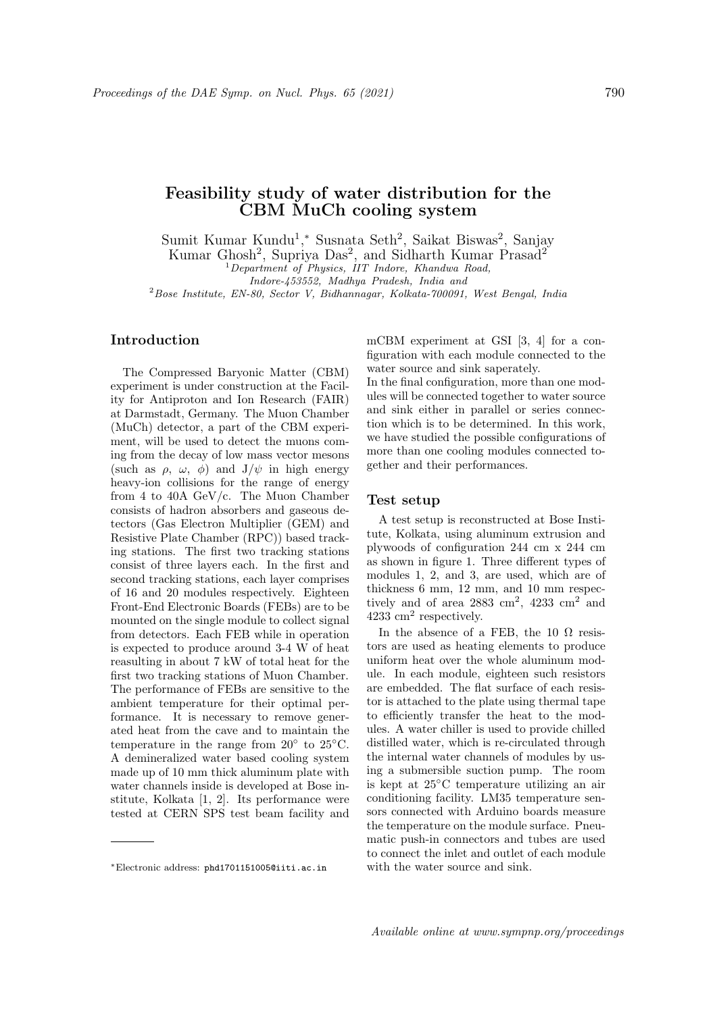# Feasibility study of water distribution for the CBM MuCh cooling system

Sumit Kumar Kundu<sup>1</sup>,\* Susnata Seth<sup>2</sup>, Saikat Biswas<sup>2</sup>, Sanjay

Kumar Ghosh<sup>2</sup>, Supriya Das<sup>2</sup>, and Sidharth Kumar Prasad<sup>2</sup>

<sup>1</sup>Department of Physics, IIT Indore, Khandwa Road,

Indore-453552, Madhya Pradesh, India and <sup>2</sup>Bose Institute, EN-80, Sector V, Bidhannagar, Kolkata-700091, West Bengal, India

# Introduction

The Compressed Baryonic Matter (CBM) experiment is under construction at the Facility for Antiproton and Ion Research (FAIR) at Darmstadt, Germany. The Muon Chamber (MuCh) detector, a part of the CBM experiment, will be used to detect the muons coming from the decay of low mass vector mesons (such as  $\rho$ ,  $\omega$ ,  $\phi$ ) and  $J/\psi$  in high energy heavy-ion collisions for the range of energy from 4 to 40A GeV/c. The Muon Chamber consists of hadron absorbers and gaseous detectors (Gas Electron Multiplier (GEM) and Resistive Plate Chamber (RPC)) based tracking stations. The first two tracking stations consist of three layers each. In the first and second tracking stations, each layer comprises of 16 and 20 modules respectively. Eighteen Front-End Electronic Boards (FEBs) are to be mounted on the single module to collect signal from detectors. Each FEB while in operation is expected to produce around 3-4 W of heat reasulting in about 7 kW of total heat for the first two tracking stations of Muon Chamber. The performance of FEBs are sensitive to the ambient temperature for their optimal performance. It is necessary to remove generated heat from the cave and to maintain the temperature in the range from  $20^{\circ}$  to  $25^{\circ}$ C. A demineralized water based cooling system made up of 10 mm thick aluminum plate with water channels inside is developed at Bose institute, Kolkata [1, 2]. Its performance were tested at CERN SPS test beam facility and

mCBM experiment at GSI [3, 4] for a configuration with each module connected to the water source and sink saperately.

In the final configuration, more than one modules will be connected together to water source and sink either in parallel or series connection which is to be determined. In this work, we have studied the possible configurations of more than one cooling modules connected together and their performances.

## Test setup

A test setup is reconstructed at Bose Institute, Kolkata, using aluminum extrusion and plywoods of configuration 244 cm x 244 cm as shown in figure 1. Three different types of modules 1, 2, and 3, are used, which are of thickness 6 mm, 12 mm, and 10 mm respectively and of area  $2883 \text{ cm}^2$ ,  $4233 \text{ cm}^2$  and 4233 cm<sup>2</sup> respectively.

In the absence of a FEB, the 10  $\Omega$  resistors are used as heating elements to produce uniform heat over the whole aluminum module. In each module, eighteen such resistors are embedded. The flat surface of each resistor is attached to the plate using thermal tape to efficiently transfer the heat to the modules. A water chiller is used to provide chilled distilled water, which is re-circulated through the internal water channels of modules by using a submersible suction pump. The room is kept at 25◦C temperature utilizing an air conditioning facility. LM35 temperature sensors connected with Arduino boards measure the temperature on the module surface. Pneumatic push-in connectors and tubes are used to connect the inlet and outlet of each module with the water source and sink.

<sup>∗</sup>Electronic address: phd1701151005@iiti.ac.in